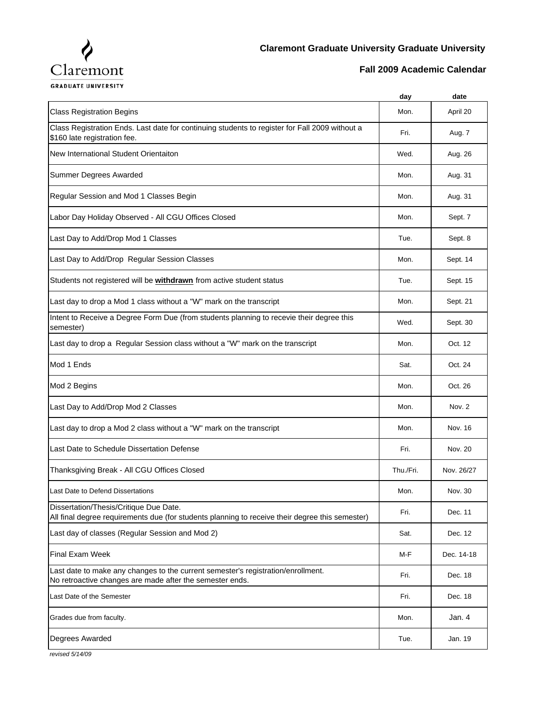

**Fall 2009 Academic Calendar**

**GRADUATE UNIVERSITY** 

|                                                                                                                                              | day       | date       |
|----------------------------------------------------------------------------------------------------------------------------------------------|-----------|------------|
| <b>Class Registration Begins</b>                                                                                                             | Mon.      | April 20   |
| Class Registration Ends. Last date for continuing students to register for Fall 2009 without a<br>\$160 late registration fee.               | Fri.      | Aug. 7     |
| New International Student Orientaiton                                                                                                        | Wed.      | Aug. 26    |
| Summer Degrees Awarded                                                                                                                       | Mon.      | Aug. 31    |
| Regular Session and Mod 1 Classes Begin                                                                                                      | Mon.      | Aug. 31    |
| Labor Day Holiday Observed - All CGU Offices Closed                                                                                          | Mon.      | Sept. 7    |
| Last Day to Add/Drop Mod 1 Classes                                                                                                           | Tue.      | Sept. 8    |
| Last Day to Add/Drop Regular Session Classes                                                                                                 | Mon.      | Sept. 14   |
| Students not registered will be <b>withdrawn</b> from active student status                                                                  | Tue.      | Sept. 15   |
| Last day to drop a Mod 1 class without a "W" mark on the transcript                                                                          | Mon.      | Sept. 21   |
| Intent to Receive a Degree Form Due (from students planning to recevie their degree this<br>semester)                                        | Wed.      | Sept. 30   |
| Last day to drop a Regular Session class without a "W" mark on the transcript                                                                | Mon.      | Oct. 12    |
| Mod 1 Ends                                                                                                                                   | Sat.      | Oct. 24    |
| Mod 2 Begins                                                                                                                                 | Mon.      | Oct. 26    |
| Last Day to Add/Drop Mod 2 Classes                                                                                                           | Mon.      | Nov. 2     |
| Last day to drop a Mod 2 class without a "W" mark on the transcript                                                                          | Mon.      | Nov. 16    |
| Last Date to Schedule Dissertation Defense                                                                                                   | Fri.      | Nov. 20    |
| Thanksgiving Break - All CGU Offices Closed                                                                                                  | Thu./Fri. | Nov. 26/27 |
| Last Date to Defend Dissertations                                                                                                            | Mon.      | Nov. 30    |
| Dissertation/Thesis/Critique Due Date.<br>All final degree requirements due (for students planning to receive their degree this semester)    | Fri.      | Dec. 11    |
| Last day of classes (Regular Session and Mod 2)                                                                                              | Sat.      | Dec. 12    |
| <b>Final Exam Week</b>                                                                                                                       | M-F       | Dec. 14-18 |
| Last date to make any changes to the current semester's registration/enrollment.<br>No retroactive changes are made after the semester ends. | Fri.      | Dec. 18    |
| Last Date of the Semester                                                                                                                    | Fri.      | Dec. 18    |
| Grades due from faculty.                                                                                                                     | Mon.      | Jan. 4     |
| Degrees Awarded                                                                                                                              | Tue.      | Jan. 19    |

*revised 5/14/09*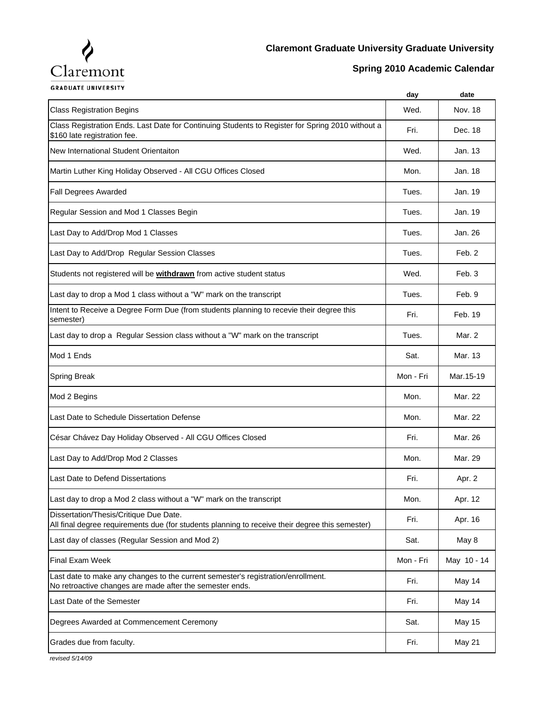

## **Claremont Graduate University Graduate University**

## **Spring 2010 Academic Calendar**

**GRADUATE UNIVERSITY** 

|                                                                                                                                              | day       | date          |
|----------------------------------------------------------------------------------------------------------------------------------------------|-----------|---------------|
| <b>Class Registration Begins</b>                                                                                                             | Wed.      | Nov. 18       |
| Class Registration Ends. Last Date for Continuing Students to Register for Spring 2010 without a<br>\$160 late registration fee.             | Fri.      | Dec. 18       |
| New International Student Orientaiton                                                                                                        | Wed.      | Jan. 13       |
| Martin Luther King Holiday Observed - All CGU Offices Closed                                                                                 | Mon.      | Jan. 18       |
| <b>Fall Degrees Awarded</b>                                                                                                                  | Tues.     | Jan. 19       |
| Regular Session and Mod 1 Classes Begin                                                                                                      | Tues.     | Jan. 19       |
| Last Day to Add/Drop Mod 1 Classes                                                                                                           | Tues.     | Jan. 26       |
| Last Day to Add/Drop Regular Session Classes                                                                                                 | Tues.     | Feb. 2        |
| Students not registered will be <b>withdrawn</b> from active student status                                                                  | Wed.      | Feb. 3        |
| Last day to drop a Mod 1 class without a "W" mark on the transcript                                                                          | Tues.     | Feb. 9        |
| Intent to Receive a Degree Form Due (from students planning to recevie their degree this<br>semester)                                        | Fri.      | Feb. 19       |
| Last day to drop a Regular Session class without a "W" mark on the transcript                                                                | Tues.     | Mar. 2        |
| Mod 1 Ends                                                                                                                                   | Sat.      | Mar. 13       |
| <b>Spring Break</b>                                                                                                                          | Mon - Fri | Mar.15-19     |
| Mod 2 Begins                                                                                                                                 | Mon.      | Mar. 22       |
| Last Date to Schedule Dissertation Defense                                                                                                   | Mon.      | Mar. 22       |
| César Chávez Day Holiday Observed - All CGU Offices Closed                                                                                   | Fri.      | Mar. 26       |
| Last Day to Add/Drop Mod 2 Classes                                                                                                           | Mon.      | Mar. 29       |
| Last Date to Defend Dissertations                                                                                                            | Fri.      | Apr. 2        |
| Last day to drop a Mod 2 class without a "W" mark on the transcript                                                                          | Mon.      | Apr. 12       |
| Dissertation/Thesis/Critique Due Date.<br>All final degree requirements due (for students planning to receive their degree this semester)    | Fri.      | Apr. 16       |
| Last day of classes (Regular Session and Mod 2)                                                                                              | Sat.      | May 8         |
| <b>Final Exam Week</b>                                                                                                                       | Mon - Fri | May 10 - 14   |
| Last date to make any changes to the current semester's registration/enrollment.<br>No retroactive changes are made after the semester ends. | Fri.      | May 14        |
| Last Date of the Semester                                                                                                                    | Fri.      | May 14        |
| Degrees Awarded at Commencement Ceremony                                                                                                     | Sat.      | <b>May 15</b> |
| Grades due from faculty.                                                                                                                     | Fri.      | May 21        |
|                                                                                                                                              |           |               |

*revised 5/14/09*